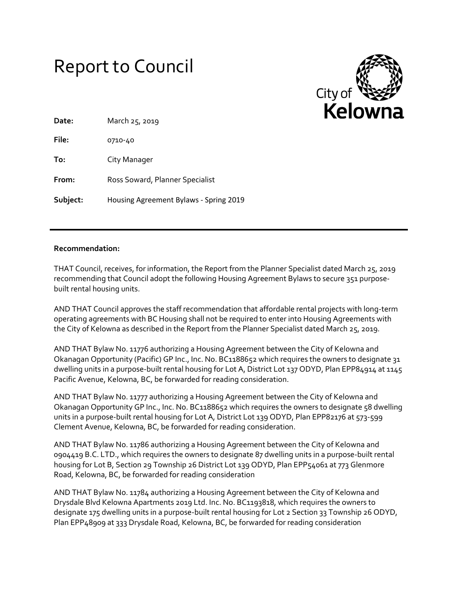# Report to Council



| Date:    | March 25, 2019                         |  |  |
|----------|----------------------------------------|--|--|
| File:    | 0710-40                                |  |  |
| To:      | City Manager                           |  |  |
| From:    | Ross Soward, Planner Specialist        |  |  |
| Subject: | Housing Agreement Bylaws - Spring 2019 |  |  |

#### **Recommendation:**

THAT Council, receives, for information, the Report from the Planner Specialist dated March 25, 2019 recommending that Council adopt the following Housing Agreement Bylaws to secure 351 purposebuilt rental housing units.

AND THAT Council approves the staff recommendation that affordable rental projects with long-term operating agreements with BC Housing shall not be required to enter into Housing Agreements with the City of Kelowna as described in the Report from the Planner Specialist dated March 25, 2019.

AND THAT Bylaw No. 11776 authorizing a Housing Agreement between the City of Kelowna and Okanagan Opportunity (Pacific) GP Inc., Inc. No. BC1188652 which requires the owners to designate 31 dwelling units in a purpose-built rental housing for Lot A, District Lot 137 ODYD, Plan EPP84914 at 1145 Pacific Avenue, Kelowna, BC, be forwarded for reading consideration.

AND THAT Bylaw No. 11777 authorizing a Housing Agreement between the City of Kelowna and Okanagan Opportunity GP Inc., Inc. No. BC1188652 which requires the owners to designate 58 dwelling units in a purpose-built rental housing for Lot A, District Lot 139 ODYD, Plan EPP82176 at 573-599 Clement Avenue, Kelowna, BC, be forwarded for reading consideration.

AND THAT Bylaw No. 11786 authorizing a Housing Agreement between the City of Kelowna and 0904419 B.C. LTD., which requires the owners to designate 87 dwelling units in a purpose-built rental housing for Lot B, Section 29 Township 26 District Lot 139 ODYD, Plan EPP54061 at 773 Glenmore Road, Kelowna, BC, be forwarded for reading consideration

AND THAT Bylaw No. 11784 authorizing a Housing Agreement between the City of Kelowna and Drysdale Blvd Kelowna Apartments 2019 Ltd. Inc. No. BC1193818, which requires the owners to designate 175 dwelling units in a purpose-built rental housing for Lot 2 Section 33 Township 26 ODYD, Plan EPP48909 at 333 Drysdale Road, Kelowna, BC, be forwarded for reading consideration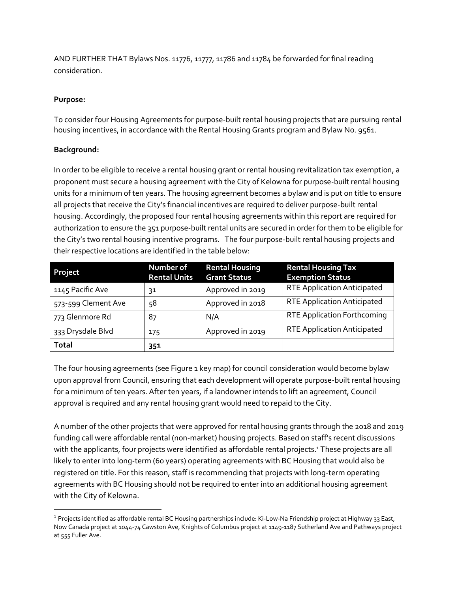AND FURTHER THAT Bylaws Nos. 11776, 11777, 11786 and 11784 be forwarded for final reading consideration.

## **Purpose:**

To consider four Housing Agreements for purpose-built rental housing projects that are pursuing rental housing incentives, in accordance with the Rental Housing Grants program and Bylaw No. 9561.

## **Background:**

 $\overline{a}$ 

In order to be eligible to receive a rental housing grant or rental housing revitalization tax exemption, a proponent must secure a housing agreement with the City of Kelowna for purpose-built rental housing units for a minimum of ten years. The housing agreement becomes a bylaw and is put on title to ensure all projects that receive the City's financial incentives are required to deliver purpose-built rental housing. Accordingly, the proposed four rental housing agreements within this report are required for authorization to ensure the 351 purpose-built rental units are secured in order for them to be eligible for the City's two rental housing incentive programs. The four purpose-built rental housing projects and their respective locations are identified in the table below:

| Project             | Number of<br><b>Rental Units</b> | <b>Rental Housing</b><br><b>Grant Status</b> | <b>Rental Housing Tax</b><br><b>Exemption Status</b> |
|---------------------|----------------------------------|----------------------------------------------|------------------------------------------------------|
| 1145 Pacific Ave    | 31                               | Approved in 2019                             | <b>RTE Application Anticipated</b>                   |
| 573-599 Clement Ave | 58                               | Approved in 2018                             | <b>RTE Application Anticipated</b>                   |
| 773 Glenmore Rd     | 87                               | N/A                                          | <b>RTE Application Forthcoming</b>                   |
| 333 Drysdale Blvd   | 175                              | Approved in 2019                             | <b>RTE Application Anticipated</b>                   |
| Total               | 351                              |                                              |                                                      |

The four housing agreements (see Figure 1 key map) for council consideration would become bylaw upon approval from Council, ensuring that each development will operate purpose-built rental housing for a minimum of ten years. After ten years, if a landowner intends to lift an agreement, Council approval is required and any rental housing grant would need to repaid to the City.

A number of the other projects that were approved for rental housing grants through the 2018 and 2019 funding call were affordable rental (non-market) housing projects. Based on staff's recent discussions with the applicants, four projects were identified as affordable rental projects.<sup>1</sup> These projects are all likely to enter into long-term (60 years) operating agreements with BC Housing that would also be registered on title. For this reason, staff is recommending that projects with long-term operating agreements with BC Housing should not be required to enter into an additional housing agreement with the City of Kelowna.

<sup>&</sup>lt;sup>1</sup> Projects identified as affordable rental BC Housing partnerships include: Ki-Low-Na Friendship project at Highway 33 East, Now Canada project at 1044-74 Cawston Ave, Knights of Columbus project at 1149-1187 Sutherland Ave and Pathways project at 555 Fuller Ave.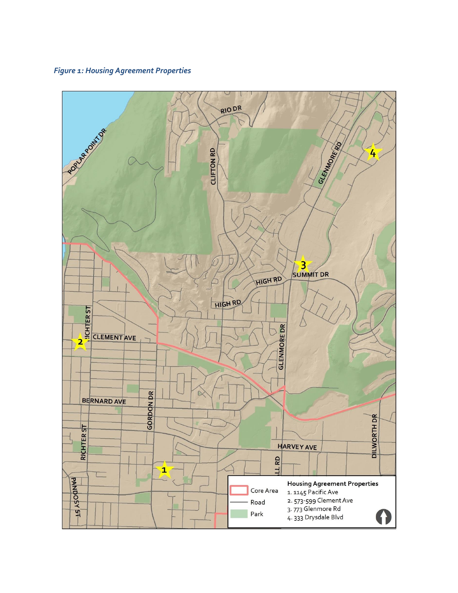## *Figure 1: Housing Agreement Properties*